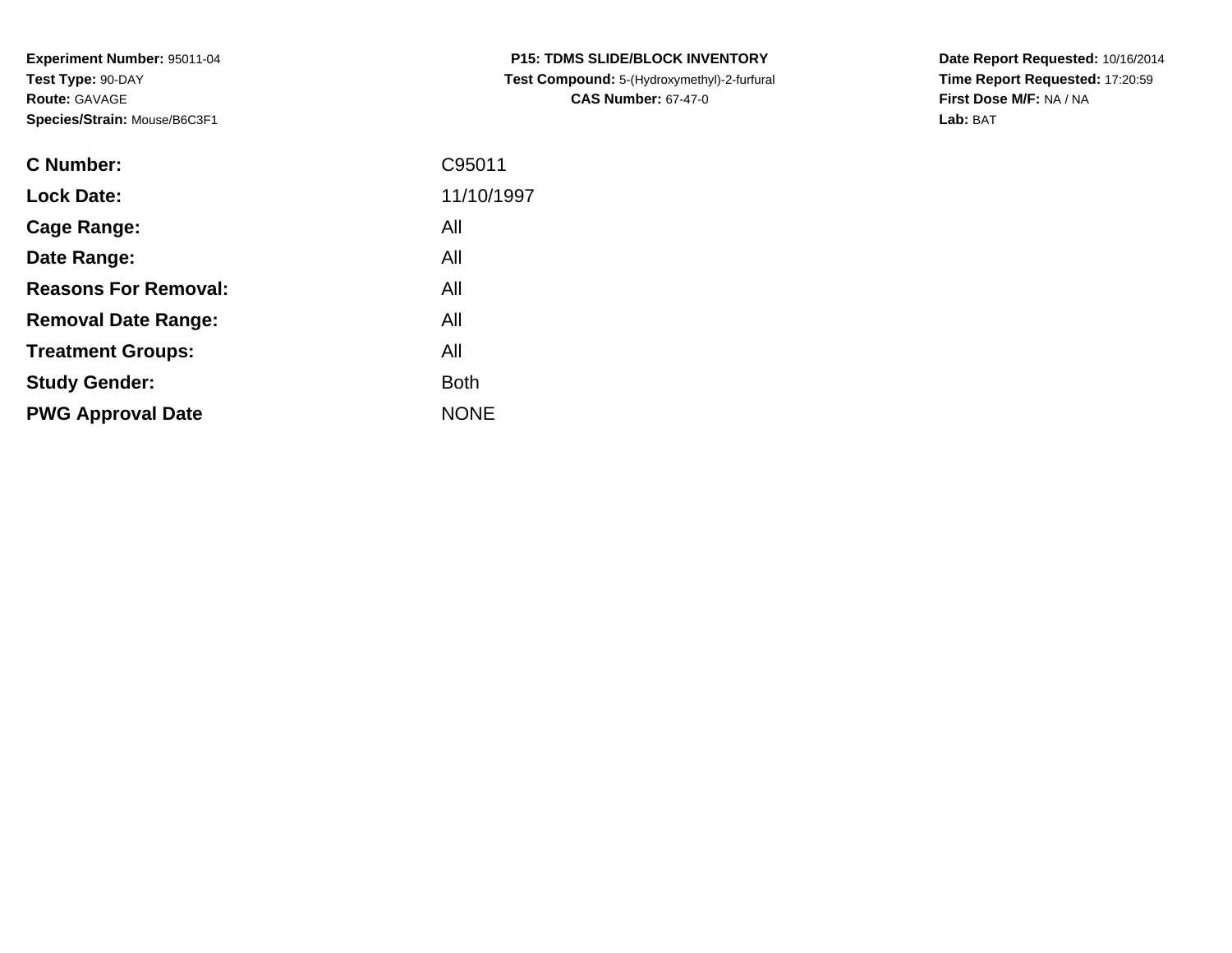**Experiment Number:** 95011-04**Test Type:** 90-DAY**Route:** GAVAGE**Species/Strain:** Mouse/B6C3F1

| <b>C Number:</b>            | C95011      |
|-----------------------------|-------------|
| <b>Lock Date:</b>           | 11/10/1997  |
| <b>Cage Range:</b>          | All         |
| Date Range:                 | All         |
| <b>Reasons For Removal:</b> | All         |
| <b>Removal Date Range:</b>  | All         |
| <b>Treatment Groups:</b>    | All         |
| <b>Study Gender:</b>        | <b>Both</b> |
| <b>PWG Approval Date</b>    | <b>NONE</b> |
|                             |             |

**P15: TDMS SLIDE/BLOCK INVENTORY Test Compound:** 5-(Hydroxymethyl)-2-furfural **CAS Number:** 67-47-0

**Date Report Requested:** 10/16/2014 **Time Report Requested:** 17:20:59**First Dose M/F:** NA / NA**Lab:** BAT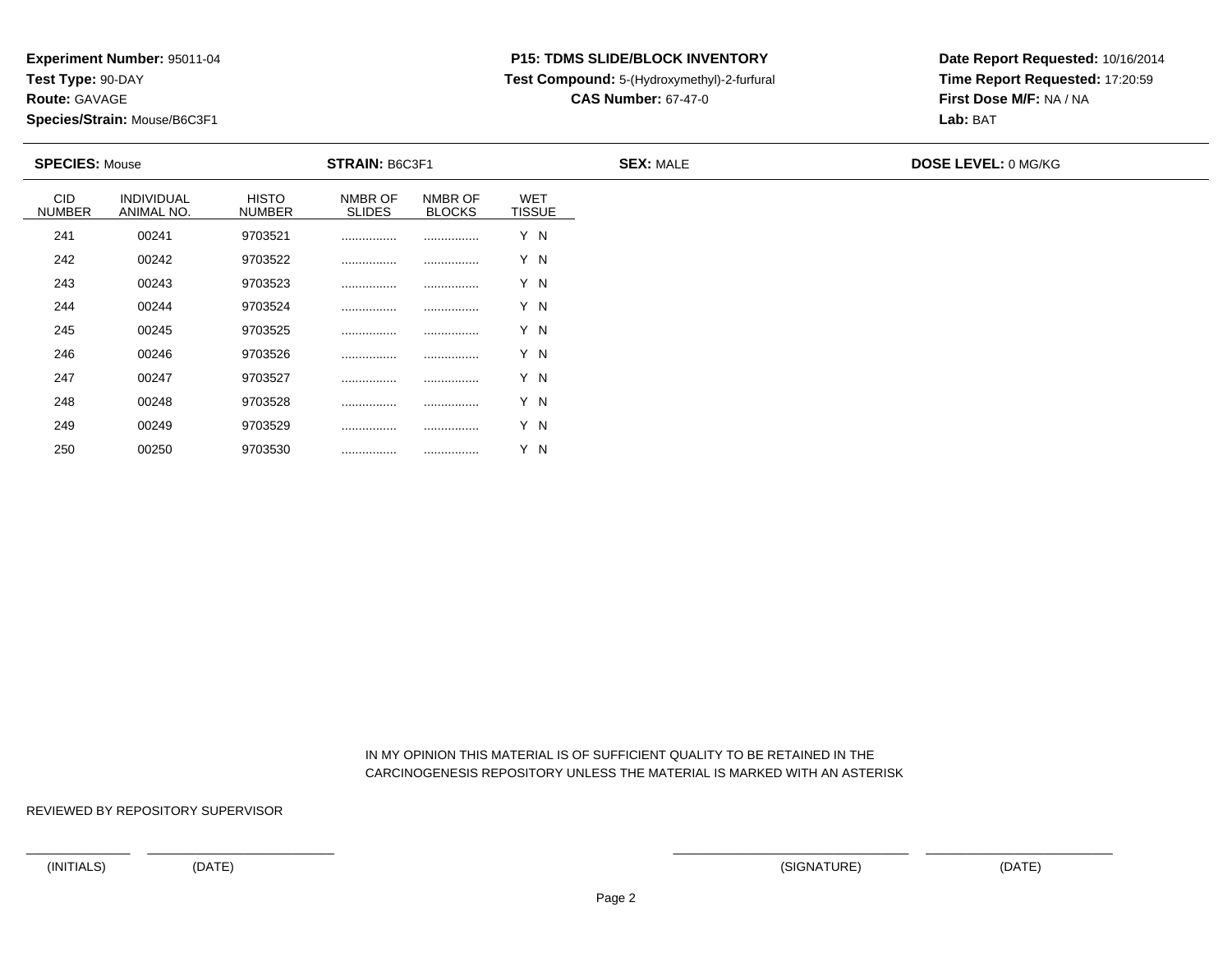**Route:** GAVAGE

250

**Species/Strain:** Mouse/B6C3F1

#### **P15: TDMS SLIDE/BLOCK INVENTORY**

**Test Compound:** 5-(Hydroxymethyl)-2-furfural

**CAS Number:** 67-47-0

**Date Report Requested:** 10/16/2014**Time Report Requested:** 17:20:59**First Dose M/F:** NA / NA**Lab:** BAT

|                             | <b>SPECIES: Mouse</b>    |                               | <b>STRAIN: B6C3F1</b>    |                          |                             | <b>SEX: MALE</b> | <b>DOSE LEVEL: 0 MG/KG</b> |
|-----------------------------|--------------------------|-------------------------------|--------------------------|--------------------------|-----------------------------|------------------|----------------------------|
| <b>CID</b><br><b>NUMBER</b> | INDIVIDUAL<br>ANIMAL NO. | <b>HISTO</b><br><b>NUMBER</b> | NMBR OF<br><b>SLIDES</b> | NMBR OF<br><b>BLOCKS</b> | <b>WET</b><br><b>TISSUE</b> |                  |                            |
| 241                         | 00241                    | 9703521                       |                          |                          | Y N                         |                  |                            |
| 242                         | 00242                    | 9703522                       |                          |                          | Y N                         |                  |                            |
| 243                         | 00243                    | 9703523                       |                          |                          | Y N                         |                  |                            |
| 244                         | 00244                    | 9703524                       |                          |                          | Y N                         |                  |                            |
| 245                         | 00245                    | 9703525                       |                          |                          | Y N                         |                  |                            |
| 246                         | 00246                    | 9703526                       |                          |                          | Y N                         |                  |                            |
| 247                         | 00247                    | 9703527                       |                          |                          | Y N                         |                  |                            |
| 248                         | 00248                    | 9703528                       |                          |                          | Y N                         |                  |                            |
| 249                         | 00249                    | 9703529                       |                          |                          | Y N                         |                  |                            |

 IN MY OPINION THIS MATERIAL IS OF SUFFICIENT QUALITY TO BE RETAINED IN THECARCINOGENESIS REPOSITORY UNLESS THE MATERIAL IS MARKED WITH AN ASTERISK

REVIEWED BY REPOSITORY SUPERVISOR

<sup>00250</sup> <sup>9703530</sup> ................ ................ Y N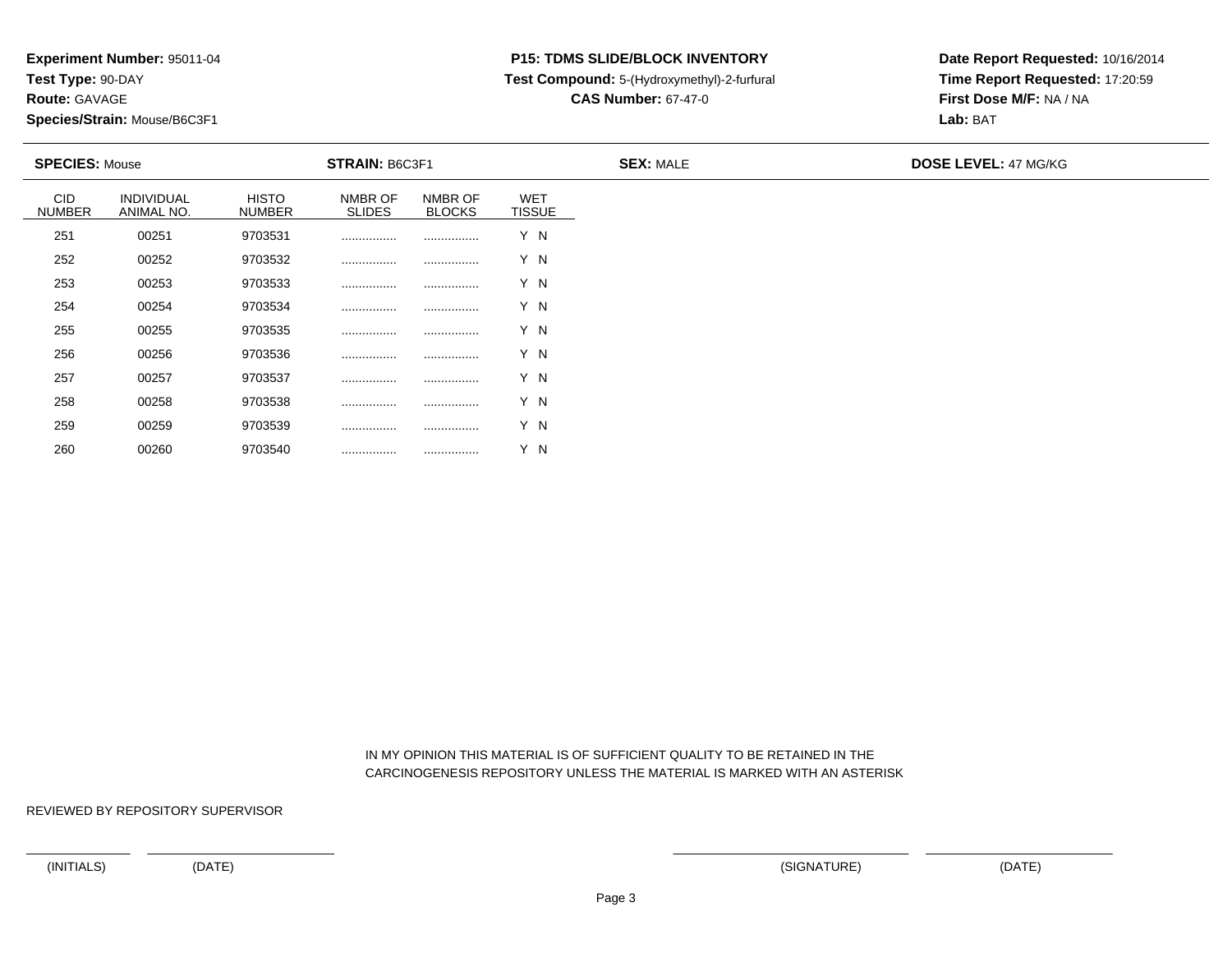**Route:** GAVAGE

260

**Species/Strain:** Mouse/B6C3F1

## **P15: TDMS SLIDE/BLOCK INVENTORY**

**Test Compound:** 5-(Hydroxymethyl)-2-furfural

**CAS Number:** 67-47-0

**Date Report Requested:** 10/16/2014**Time Report Requested:** 17:20:59**First Dose M/F:** NA / NA**Lab:** BAT

|                             | <b>SPECIES: Mouse</b>           |                               | <b>STRAIN: B6C3F1</b>    |                          |                             | <b>SEX: MALE</b> | <b>DOSE LEVEL: 47 MG/KG</b> |  |  |
|-----------------------------|---------------------------------|-------------------------------|--------------------------|--------------------------|-----------------------------|------------------|-----------------------------|--|--|
| <b>CID</b><br><b>NUMBER</b> | <b>INDIVIDUAL</b><br>ANIMAL NO. | <b>HISTO</b><br><b>NUMBER</b> | NMBR OF<br><b>SLIDES</b> | NMBR OF<br><b>BLOCKS</b> | <b>WET</b><br><b>TISSUE</b> |                  |                             |  |  |
| 251                         | 00251                           | 9703531                       |                          |                          | Y N                         |                  |                             |  |  |
| 252                         | 00252                           | 9703532                       |                          |                          | Y N                         |                  |                             |  |  |
| 253                         | 00253                           | 9703533                       |                          |                          | Y N                         |                  |                             |  |  |
| 254                         | 00254                           | 9703534                       |                          |                          | Y N                         |                  |                             |  |  |
| 255                         | 00255                           | 9703535                       |                          |                          | Y N                         |                  |                             |  |  |
| 256                         | 00256                           | 9703536                       |                          |                          | Y N                         |                  |                             |  |  |
| 257                         | 00257                           | 9703537                       | .                        |                          | Y N                         |                  |                             |  |  |
| 258                         | 00258                           | 9703538                       |                          |                          | Y N                         |                  |                             |  |  |
| 259                         | 00259                           | 9703539                       |                          |                          | Y N                         |                  |                             |  |  |

 IN MY OPINION THIS MATERIAL IS OF SUFFICIENT QUALITY TO BE RETAINED IN THECARCINOGENESIS REPOSITORY UNLESS THE MATERIAL IS MARKED WITH AN ASTERISK

REVIEWED BY REPOSITORY SUPERVISOR

<sup>00260</sup> <sup>9703540</sup> ................ ................ Y N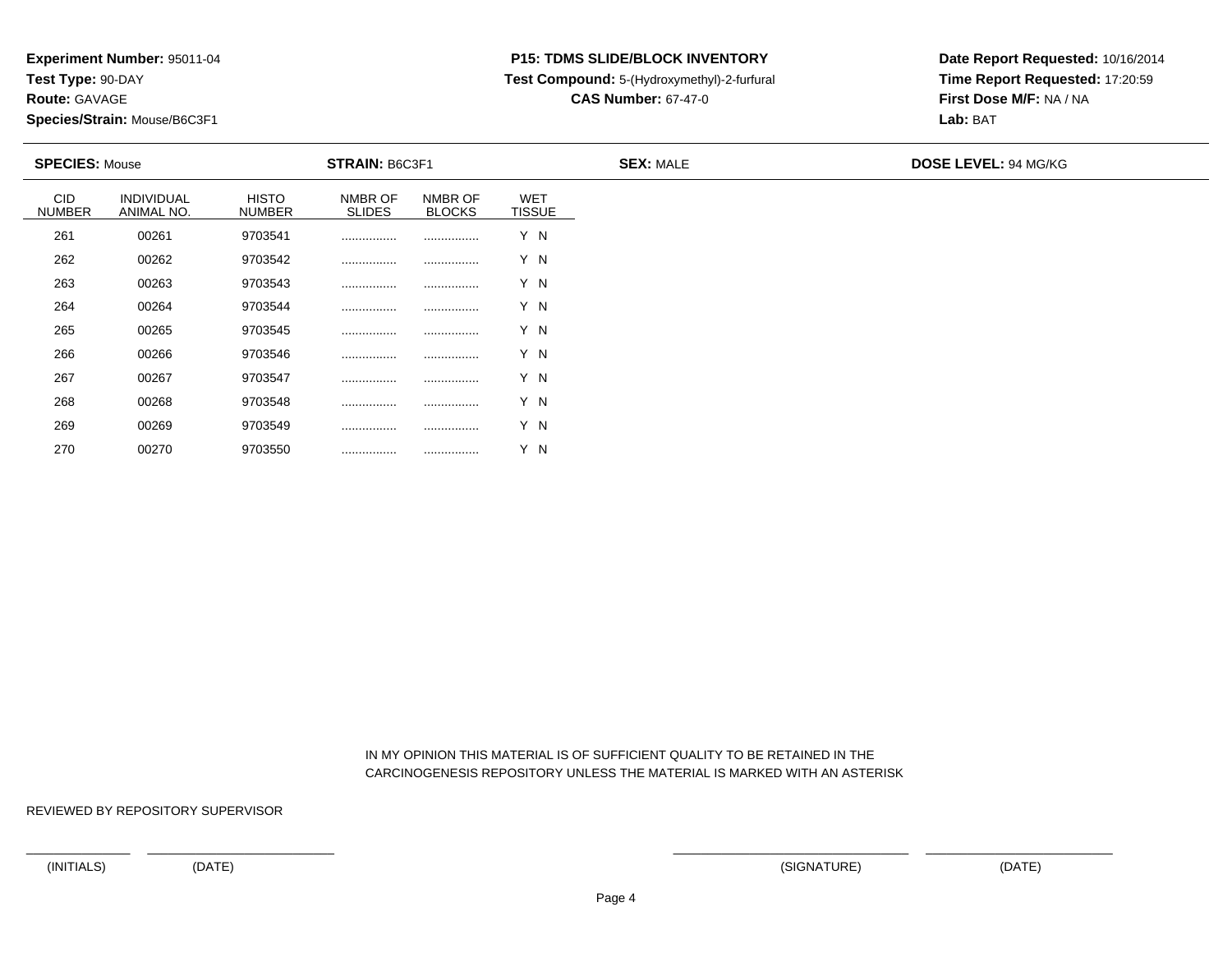**Route:** GAVAGE

270

**Species/Strain:** Mouse/B6C3F1

### **P15: TDMS SLIDE/BLOCK INVENTORY**

**Test Compound:** 5-(Hydroxymethyl)-2-furfural

**CAS Number:** 67-47-0

**Date Report Requested:** 10/16/2014**Time Report Requested:** 17:20:59**First Dose M/F:** NA / NA**Lab:** BAT

|                             | <b>SPECIES: Mouse</b>    |                               | <b>STRAIN: B6C3F1</b>    |                          |                             | <b>SEX: MALE</b> | <b>DOSE LEVEL: 94 MG/KG</b> |  |  |
|-----------------------------|--------------------------|-------------------------------|--------------------------|--------------------------|-----------------------------|------------------|-----------------------------|--|--|
| <b>CID</b><br><b>NUMBER</b> | INDIVIDUAL<br>ANIMAL NO. | <b>HISTO</b><br><b>NUMBER</b> | NMBR OF<br><b>SLIDES</b> | NMBR OF<br><b>BLOCKS</b> | <b>WET</b><br><b>TISSUE</b> |                  |                             |  |  |
| 261                         | 00261                    | 9703541                       |                          |                          | Y N                         |                  |                             |  |  |
| 262                         | 00262                    | 9703542                       |                          | .                        | Y N                         |                  |                             |  |  |
| 263                         | 00263                    | 9703543                       |                          |                          | Y N                         |                  |                             |  |  |
| 264                         | 00264                    | 9703544                       |                          |                          | Y N                         |                  |                             |  |  |
| 265                         | 00265                    | 9703545                       |                          |                          | Y N                         |                  |                             |  |  |
| 266                         | 00266                    | 9703546                       |                          |                          | Y N                         |                  |                             |  |  |
| 267                         | 00267                    | 9703547                       |                          |                          | Y N                         |                  |                             |  |  |
| 268                         | 00268                    | 9703548                       |                          |                          | Y N                         |                  |                             |  |  |
| 269                         | 00269                    | 9703549                       |                          |                          | Y N                         |                  |                             |  |  |

 IN MY OPINION THIS MATERIAL IS OF SUFFICIENT QUALITY TO BE RETAINED IN THECARCINOGENESIS REPOSITORY UNLESS THE MATERIAL IS MARKED WITH AN ASTERISK

REVIEWED BY REPOSITORY SUPERVISOR

<sup>00270</sup> <sup>9703550</sup> ................ ................ Y N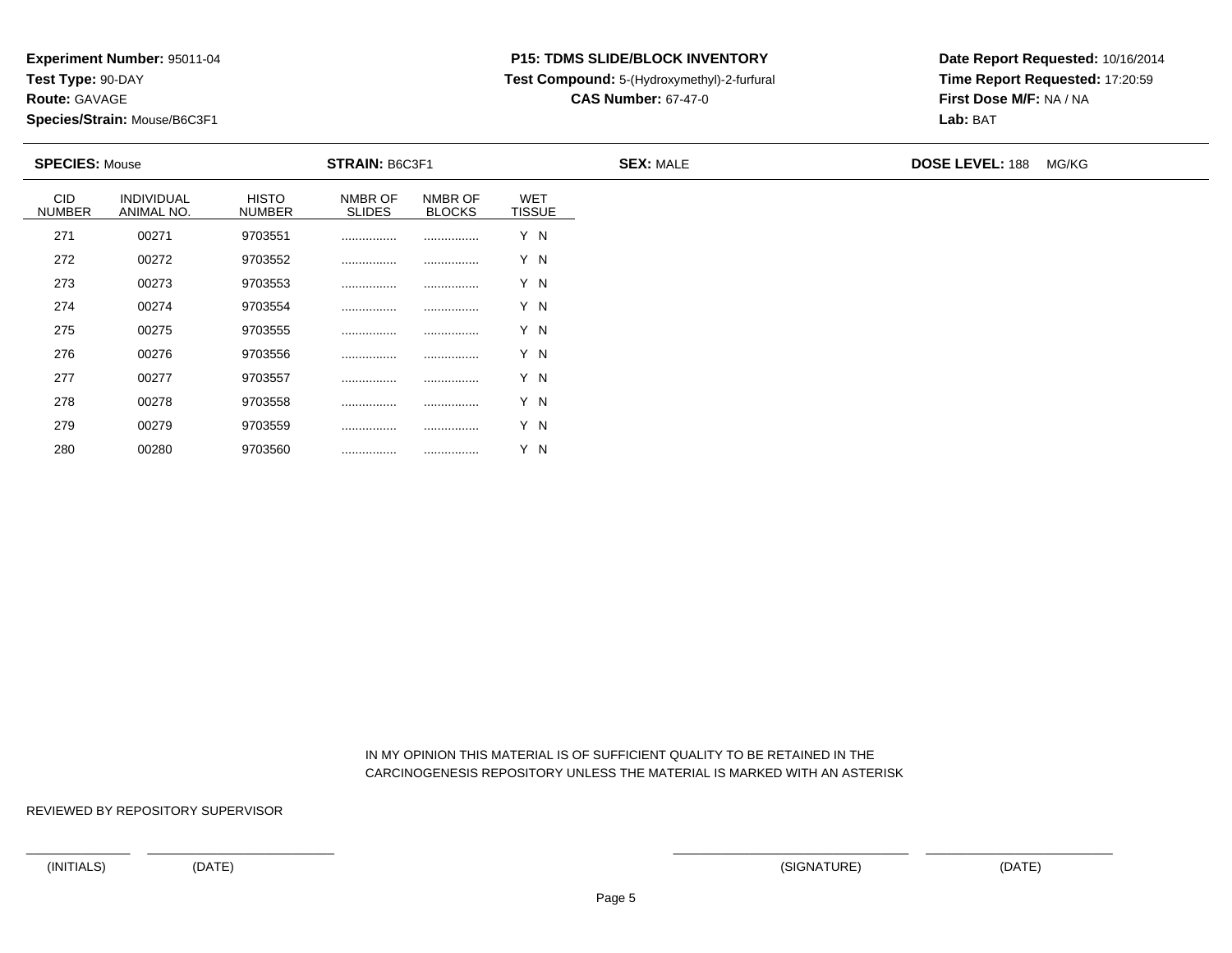**Route:** GAVAGE

280

**Species/Strain:** Mouse/B6C3F1

### **P15: TDMS SLIDE/BLOCK INVENTORY**

**Test Compound:** 5-(Hydroxymethyl)-2-furfural

**CAS Number:** 67-47-0

**Date Report Requested:** 10/16/2014**Time Report Requested:** 17:20:59**First Dose M/F:** NA / NA**Lab:** BAT

| <b>SPECIES: Mouse</b>       |                          |                               | <b>STRAIN: B6C3F1</b>    |                          |                             | <b>SEX: MALE</b> | <b>DOSE LEVEL: 188</b> | MG/KG |
|-----------------------------|--------------------------|-------------------------------|--------------------------|--------------------------|-----------------------------|------------------|------------------------|-------|
| <b>CID</b><br><b>NUMBER</b> | INDIVIDUAL<br>ANIMAL NO. | <b>HISTO</b><br><b>NUMBER</b> | NMBR OF<br><b>SLIDES</b> | NMBR OF<br><b>BLOCKS</b> | <b>WET</b><br><b>TISSUE</b> |                  |                        |       |
| 271                         | 00271                    | 9703551                       |                          |                          | Y N                         |                  |                        |       |
| 272                         | 00272                    | 9703552                       |                          |                          | Y N                         |                  |                        |       |
| 273                         | 00273                    | 9703553                       |                          |                          | Y N                         |                  |                        |       |
| 274                         | 00274                    | 9703554                       |                          |                          | Y N                         |                  |                        |       |
| 275                         | 00275                    | 9703555                       |                          |                          | Y N                         |                  |                        |       |
| 276                         | 00276                    | 9703556                       |                          |                          | Y N                         |                  |                        |       |
| 277                         | 00277                    | 9703557                       |                          |                          | Y N                         |                  |                        |       |
| 278                         | 00278                    | 9703558                       |                          |                          | Y N                         |                  |                        |       |
| 279                         | 00279                    | 9703559                       |                          |                          | Y N                         |                  |                        |       |

 IN MY OPINION THIS MATERIAL IS OF SUFFICIENT QUALITY TO BE RETAINED IN THECARCINOGENESIS REPOSITORY UNLESS THE MATERIAL IS MARKED WITH AN ASTERISK

REVIEWED BY REPOSITORY SUPERVISOR

<sup>00280</sup> <sup>9703560</sup> ................ ................ Y N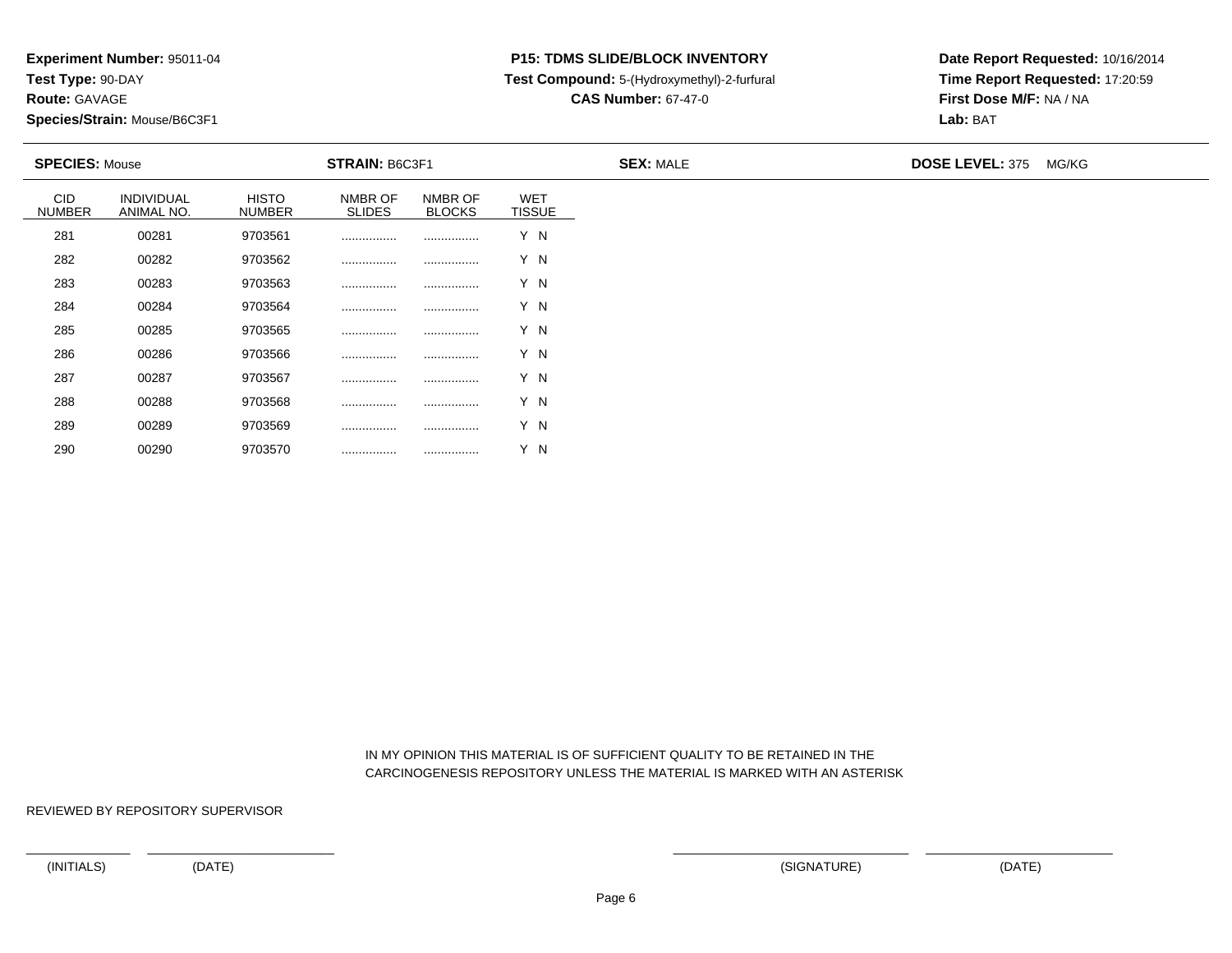**Route:** GAVAGE

290

**Species/Strain:** Mouse/B6C3F1

# **P15: TDMS SLIDE/BLOCK INVENTORY**

**Test Compound:** 5-(Hydroxymethyl)-2-furfural

**CAS Number:** 67-47-0

**Date Report Requested:** 10/16/2014**Time Report Requested:** 17:20:59**First Dose M/F:** NA / NA**Lab:** BAT

| <b>SPECIES: Mouse</b>       |                          |                               | <b>STRAIN: B6C3F1</b>    |                          |                             | <b>SEX: MALE</b> | <b>DOSE LEVEL: 375</b> | MG/KG |
|-----------------------------|--------------------------|-------------------------------|--------------------------|--------------------------|-----------------------------|------------------|------------------------|-------|
| <b>CID</b><br><b>NUMBER</b> | INDIVIDUAL<br>ANIMAL NO. | <b>HISTO</b><br><b>NUMBER</b> | NMBR OF<br><b>SLIDES</b> | NMBR OF<br><b>BLOCKS</b> | <b>WET</b><br><b>TISSUE</b> |                  |                        |       |
| 281                         | 00281                    | 9703561                       |                          |                          | Y N                         |                  |                        |       |
| 282                         | 00282                    | 9703562                       |                          |                          | Y N                         |                  |                        |       |
| 283                         | 00283                    | 9703563                       |                          |                          | Y N                         |                  |                        |       |
| 284                         | 00284                    | 9703564                       |                          |                          | Y N                         |                  |                        |       |
| 285                         | 00285                    | 9703565                       |                          |                          | Y N                         |                  |                        |       |
| 286                         | 00286                    | 9703566                       |                          |                          | Y N                         |                  |                        |       |
| 287                         | 00287                    | 9703567                       |                          |                          | Y N                         |                  |                        |       |
| 288                         | 00288                    | 9703568                       |                          |                          | Y N                         |                  |                        |       |
| 289                         | 00289                    | 9703569                       |                          | .                        | Y N                         |                  |                        |       |

 IN MY OPINION THIS MATERIAL IS OF SUFFICIENT QUALITY TO BE RETAINED IN THECARCINOGENESIS REPOSITORY UNLESS THE MATERIAL IS MARKED WITH AN ASTERISK

REVIEWED BY REPOSITORY SUPERVISOR

<sup>00290</sup> <sup>9703570</sup> ................ ................ Y N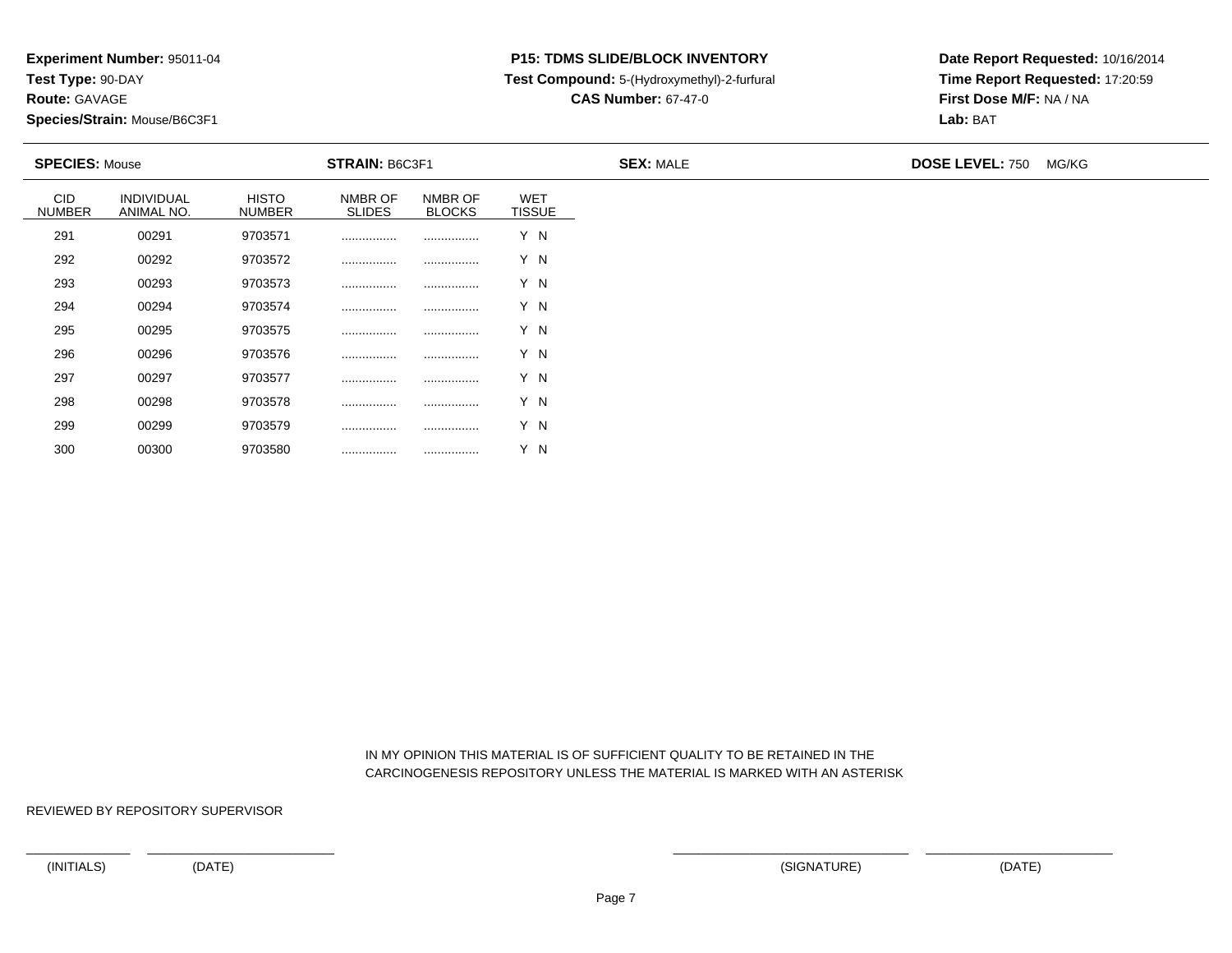**Route:** GAVAGE

300

**Species/Strain:** Mouse/B6C3F1

# **P15: TDMS SLIDE/BLOCK INVENTORY**

**Test Compound:** 5-(Hydroxymethyl)-2-furfural

**CAS Number:** 67-47-0

**Date Report Requested:** 10/16/2014**Time Report Requested:** 17:20:59**First Dose M/F:** NA / NA**Lab:** BAT

| <b>SPECIES: Mouse</b>       |                          |                               | <b>STRAIN: B6C3F1</b>    |                          |                             | <b>SEX: MALE</b> | <b>DOSE LEVEL: 750</b> | MG/KG |
|-----------------------------|--------------------------|-------------------------------|--------------------------|--------------------------|-----------------------------|------------------|------------------------|-------|
| <b>CID</b><br><b>NUMBER</b> | INDIVIDUAL<br>ANIMAL NO. | <b>HISTO</b><br><b>NUMBER</b> | NMBR OF<br><b>SLIDES</b> | NMBR OF<br><b>BLOCKS</b> | <b>WET</b><br><b>TISSUE</b> |                  |                        |       |
| 291                         | 00291                    | 9703571                       |                          |                          | Y N                         |                  |                        |       |
| 292                         | 00292                    | 9703572                       |                          |                          | Y N                         |                  |                        |       |
| 293                         | 00293                    | 9703573                       |                          |                          | Y N                         |                  |                        |       |
| 294                         | 00294                    | 9703574                       |                          |                          | Y N                         |                  |                        |       |
| 295                         | 00295                    | 9703575                       |                          |                          | Y N                         |                  |                        |       |
| 296                         | 00296                    | 9703576                       |                          |                          | Y N                         |                  |                        |       |
| 297                         | 00297                    | 9703577                       |                          |                          | Y N                         |                  |                        |       |
| 298                         | 00298                    | 9703578                       |                          |                          | Y N                         |                  |                        |       |
| 299                         | 00299                    | 9703579                       |                          |                          | Y N                         |                  |                        |       |

 IN MY OPINION THIS MATERIAL IS OF SUFFICIENT QUALITY TO BE RETAINED IN THECARCINOGENESIS REPOSITORY UNLESS THE MATERIAL IS MARKED WITH AN ASTERISK

REVIEWED BY REPOSITORY SUPERVISOR

<sup>00300</sup> <sup>9703580</sup> ................ ................ Y N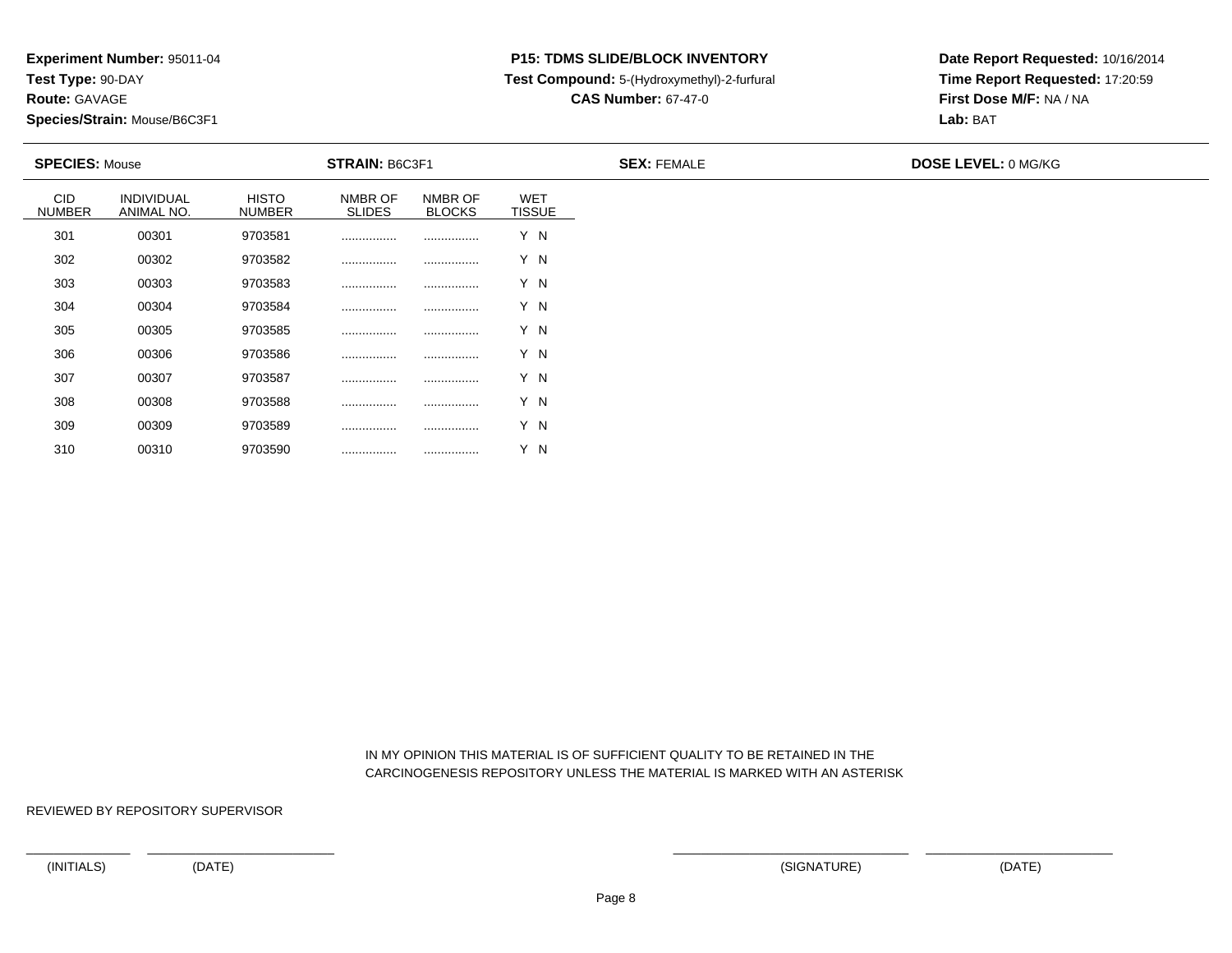**Route:** GAVAGE

310

**Species/Strain:** Mouse/B6C3F1

# **P15: TDMS SLIDE/BLOCK INVENTORY**

**Test Compound:** 5-(Hydroxymethyl)-2-furfural

**CAS Number:** 67-47-0

**Date Report Requested:** 10/16/2014**Time Report Requested:** 17:20:59**First Dose M/F:** NA / NA**Lab:** BAT

| <b>SPECIES: Mouse</b>       |                          |                               | <b>STRAIN: B6C3F1</b>    |                          |                             | <b>SEX: FEMALE</b> | <b>DOSE LEVEL: 0 MG/KG</b> |
|-----------------------------|--------------------------|-------------------------------|--------------------------|--------------------------|-----------------------------|--------------------|----------------------------|
| <b>CID</b><br><b>NUMBER</b> | INDIVIDUAL<br>ANIMAL NO. | <b>HISTO</b><br><b>NUMBER</b> | NMBR OF<br><b>SLIDES</b> | NMBR OF<br><b>BLOCKS</b> | <b>WET</b><br><b>TISSUE</b> |                    |                            |
| 301                         | 00301                    | 9703581                       |                          |                          | Y N                         |                    |                            |
| 302                         | 00302                    | 9703582                       |                          |                          | Y N                         |                    |                            |
| 303                         | 00303                    | 9703583                       |                          |                          | Y N                         |                    |                            |
| 304                         | 00304                    | 9703584                       |                          |                          | Y N                         |                    |                            |
| 305                         | 00305                    | 9703585                       |                          |                          | Y N                         |                    |                            |
| 306                         | 00306                    | 9703586                       |                          |                          | Y N                         |                    |                            |
| 307                         | 00307                    | 9703587                       |                          |                          | Y N                         |                    |                            |
| 308                         | 00308                    | 9703588                       |                          |                          | Y N                         |                    |                            |
| 309                         | 00309                    | 9703589                       |                          |                          | Y N                         |                    |                            |

 IN MY OPINION THIS MATERIAL IS OF SUFFICIENT QUALITY TO BE RETAINED IN THECARCINOGENESIS REPOSITORY UNLESS THE MATERIAL IS MARKED WITH AN ASTERISK

REVIEWED BY REPOSITORY SUPERVISOR

<sup>00310</sup> <sup>9703590</sup> ................ ................ Y N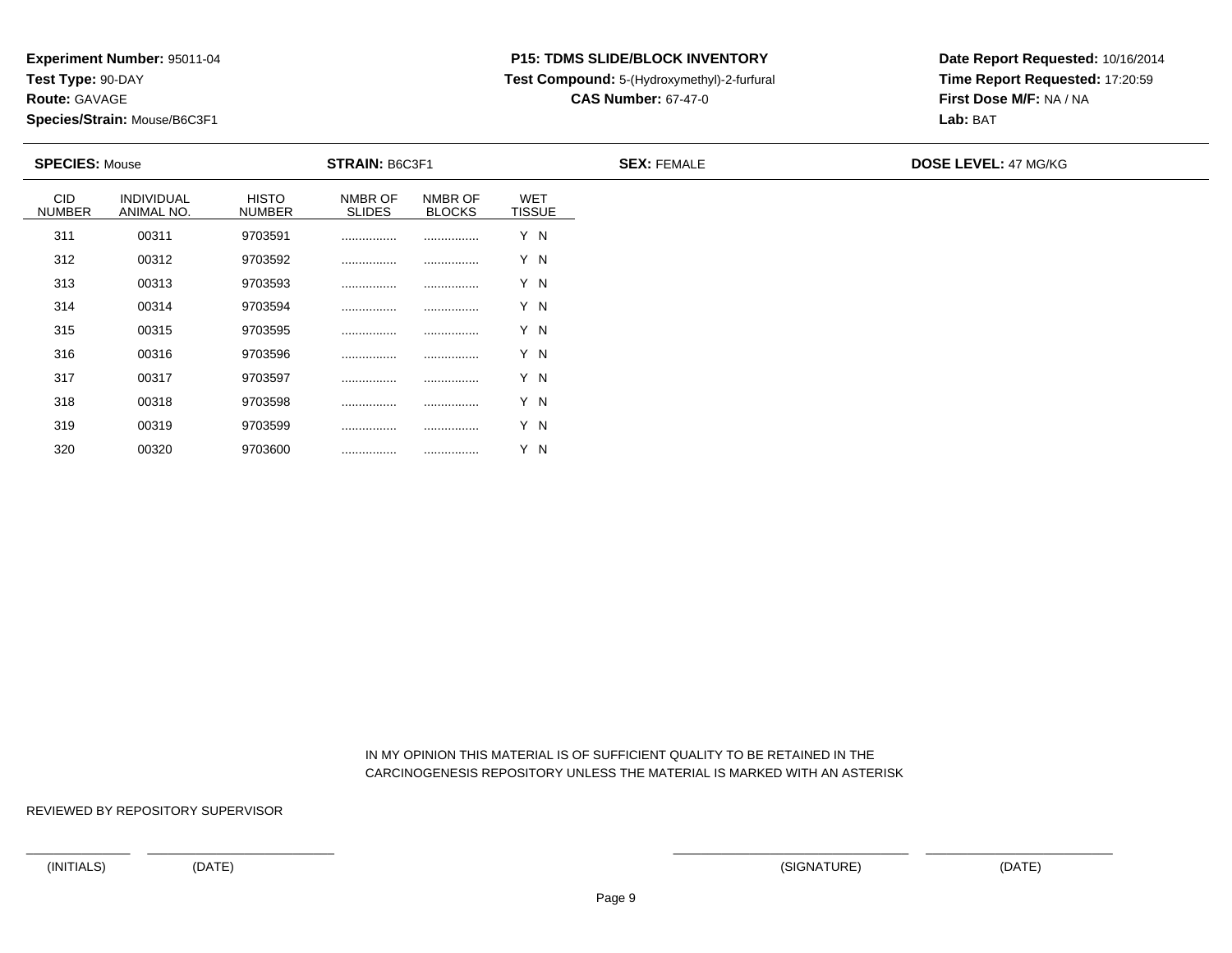**Route:** GAVAGE

320

**Species/Strain:** Mouse/B6C3F1

## **P15: TDMS SLIDE/BLOCK INVENTORY**

**Test Compound:** 5-(Hydroxymethyl)-2-furfural

**CAS Number:** 67-47-0

**Date Report Requested:** 10/16/2014**Time Report Requested:** 17:20:59**First Dose M/F:** NA / NA**Lab:** BAT

|                             | <b>SPECIES: Mouse</b>    |                               | <b>STRAIN: B6C3F1</b>    |                          |                             | <b>SEX: FEMALE</b> | <b>DOSE LEVEL: 47 MG/KG</b> |
|-----------------------------|--------------------------|-------------------------------|--------------------------|--------------------------|-----------------------------|--------------------|-----------------------------|
| <b>CID</b><br><b>NUMBER</b> | INDIVIDUAL<br>ANIMAL NO. | <b>HISTO</b><br><b>NUMBER</b> | NMBR OF<br><b>SLIDES</b> | NMBR OF<br><b>BLOCKS</b> | <b>WET</b><br><b>TISSUE</b> |                    |                             |
| 311                         | 00311                    | 9703591                       |                          |                          | Y N                         |                    |                             |
| 312                         | 00312                    | 9703592                       |                          |                          | Y N                         |                    |                             |
| 313                         | 00313                    | 9703593                       |                          |                          | Y N                         |                    |                             |
| 314                         | 00314                    | 9703594                       |                          |                          | Y N                         |                    |                             |
| 315                         | 00315                    | 9703595                       |                          |                          | Y N                         |                    |                             |
| 316                         | 00316                    | 9703596                       |                          |                          | Y N                         |                    |                             |
| 317                         | 00317                    | 9703597                       |                          |                          | Y N                         |                    |                             |
| 318                         | 00318                    | 9703598                       |                          |                          | Y N                         |                    |                             |
| 319                         | 00319                    | 9703599                       |                          |                          | Y N                         |                    |                             |

 IN MY OPINION THIS MATERIAL IS OF SUFFICIENT QUALITY TO BE RETAINED IN THECARCINOGENESIS REPOSITORY UNLESS THE MATERIAL IS MARKED WITH AN ASTERISK

REVIEWED BY REPOSITORY SUPERVISOR

<sup>00320</sup> <sup>9703600</sup> ................ ................ Y N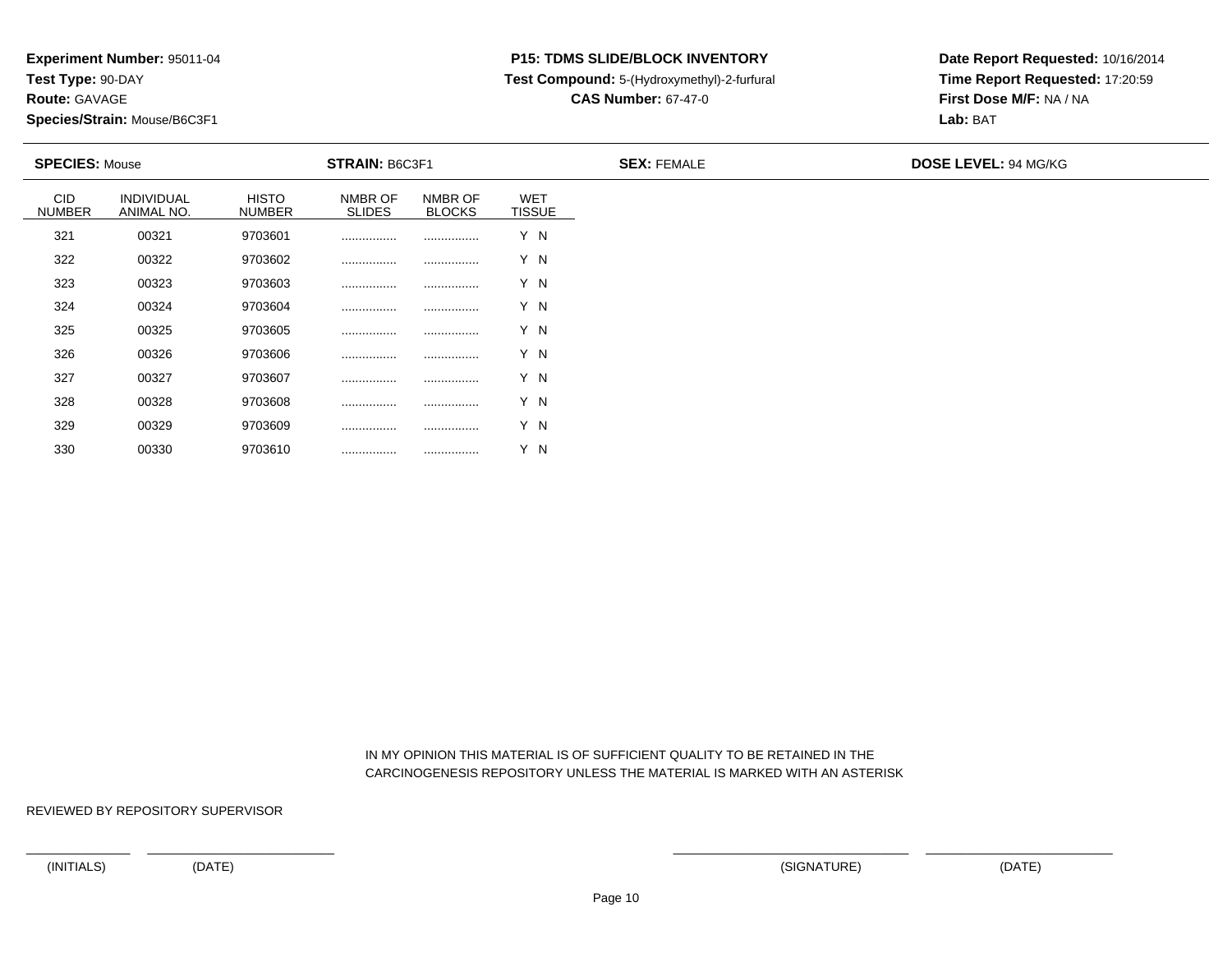**Route:** GAVAGE

330

**Species/Strain:** Mouse/B6C3F1

## **P15: TDMS SLIDE/BLOCK INVENTORY**

**Test Compound:** 5-(Hydroxymethyl)-2-furfural

**CAS Number:** 67-47-0

**Date Report Requested:** 10/16/2014**Time Report Requested:** 17:20:59**First Dose M/F:** NA / NA**Lab:** BAT

| <b>SPECIES: Mouse</b>       |                          |                               | <b>STRAIN: B6C3F1</b>    |                          |                             | <b>SEX: FEMALE</b> | <b>DOSE LEVEL: 94 MG/KG</b> |
|-----------------------------|--------------------------|-------------------------------|--------------------------|--------------------------|-----------------------------|--------------------|-----------------------------|
| <b>CID</b><br><b>NUMBER</b> | INDIVIDUAL<br>ANIMAL NO. | <b>HISTO</b><br><b>NUMBER</b> | NMBR OF<br><b>SLIDES</b> | NMBR OF<br><b>BLOCKS</b> | <b>WET</b><br><b>TISSUE</b> |                    |                             |
| 321                         | 00321                    | 9703601                       |                          |                          | Y N                         |                    |                             |
| 322                         | 00322                    | 9703602                       |                          |                          | Y N                         |                    |                             |
| 323                         | 00323                    | 9703603                       |                          |                          | Y N                         |                    |                             |
| 324                         | 00324                    | 9703604                       |                          |                          | Y N                         |                    |                             |
| 325                         | 00325                    | 9703605                       |                          |                          | Y N                         |                    |                             |
| 326                         | 00326                    | 9703606                       |                          |                          | Y N                         |                    |                             |
| 327                         | 00327                    | 9703607                       |                          |                          | Y N                         |                    |                             |
| 328                         | 00328                    | 9703608                       |                          |                          | Y N                         |                    |                             |
| 329                         | 00329                    | 9703609                       |                          |                          | Y N                         |                    |                             |

 IN MY OPINION THIS MATERIAL IS OF SUFFICIENT QUALITY TO BE RETAINED IN THECARCINOGENESIS REPOSITORY UNLESS THE MATERIAL IS MARKED WITH AN ASTERISK

REVIEWED BY REPOSITORY SUPERVISOR

<sup>00330</sup> <sup>9703610</sup> ................ ................ Y N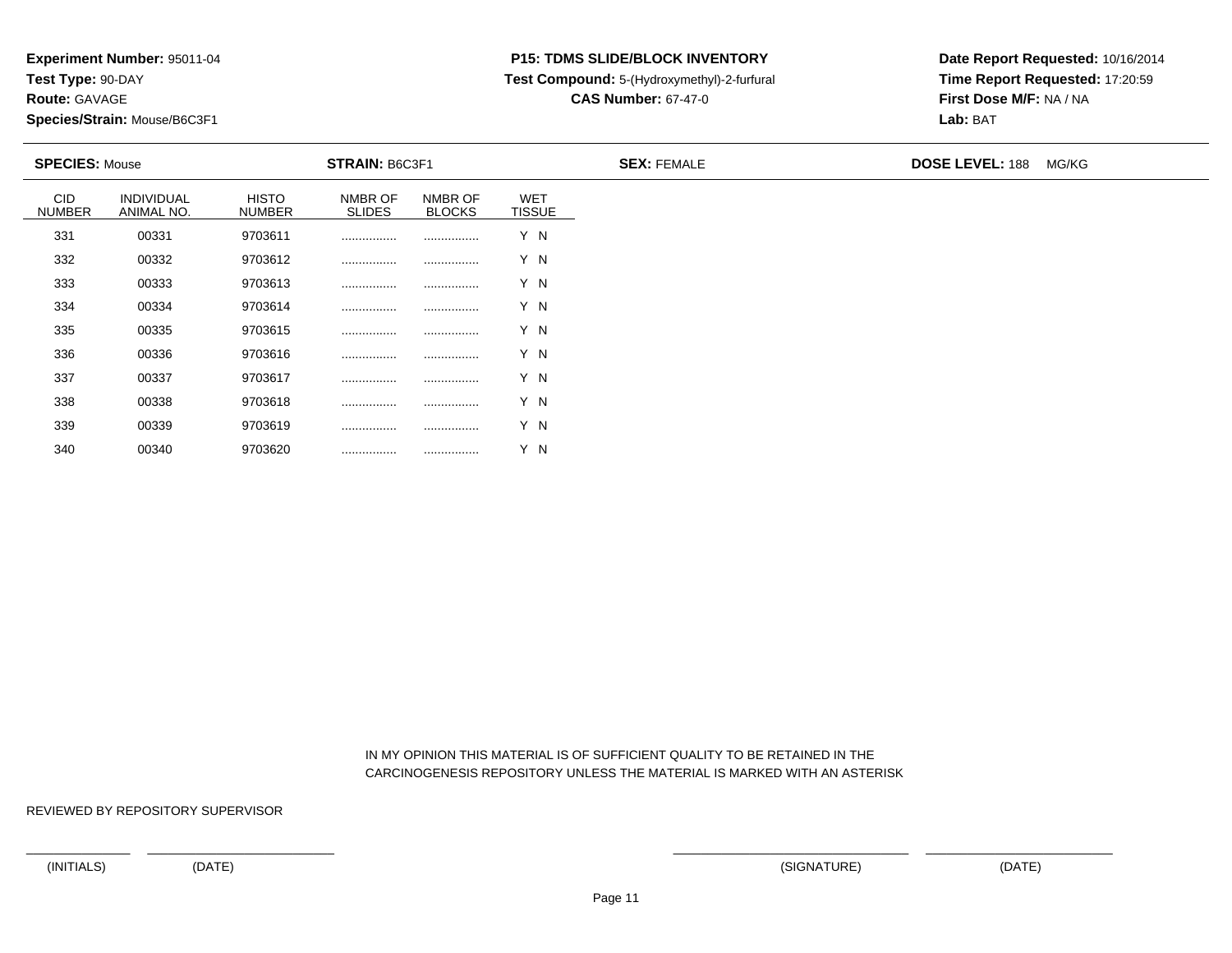**Route:** GAVAGE

340

**Species/Strain:** Mouse/B6C3F1

## **P15: TDMS SLIDE/BLOCK INVENTORY**

**Test Compound:** 5-(Hydroxymethyl)-2-furfural

**CAS Number:** 67-47-0

**Date Report Requested:** 10/16/2014**Time Report Requested:** 17:20:59**First Dose M/F:** NA / NA**Lab:** BAT

| <b>SPECIES: Mouse</b> |                          |                               | <b>STRAIN: B6C3F1</b>    |                          |                             | <b>SEX: FEMALE</b> | <b>DOSE LEVEL: 188 MG/KG</b> |
|-----------------------|--------------------------|-------------------------------|--------------------------|--------------------------|-----------------------------|--------------------|------------------------------|
| CID<br><b>NUMBER</b>  | INDIVIDUAL<br>ANIMAL NO. | <b>HISTO</b><br><b>NUMBER</b> | NMBR OF<br><b>SLIDES</b> | NMBR OF<br><b>BLOCKS</b> | <b>WET</b><br><b>TISSUE</b> |                    |                              |
| 331                   | 00331                    | 9703611                       |                          |                          | Y N                         |                    |                              |
| 332                   | 00332                    | 9703612                       |                          |                          | Y N                         |                    |                              |
| 333                   | 00333                    | 9703613                       |                          |                          | Y N                         |                    |                              |
| 334                   | 00334                    | 9703614                       |                          |                          | Y N                         |                    |                              |
| 335                   | 00335                    | 9703615                       |                          |                          | Y N                         |                    |                              |
| 336                   | 00336                    | 9703616                       |                          |                          | Y N                         |                    |                              |
| 337                   | 00337                    | 9703617                       |                          |                          | Y N                         |                    |                              |
| 338                   | 00338                    | 9703618                       |                          |                          | Y N                         |                    |                              |
| 339                   | 00339                    | 9703619                       |                          |                          | Y N                         |                    |                              |

 IN MY OPINION THIS MATERIAL IS OF SUFFICIENT QUALITY TO BE RETAINED IN THECARCINOGENESIS REPOSITORY UNLESS THE MATERIAL IS MARKED WITH AN ASTERISK

REVIEWED BY REPOSITORY SUPERVISOR

<sup>00340</sup> <sup>9703620</sup> ................ ................ Y N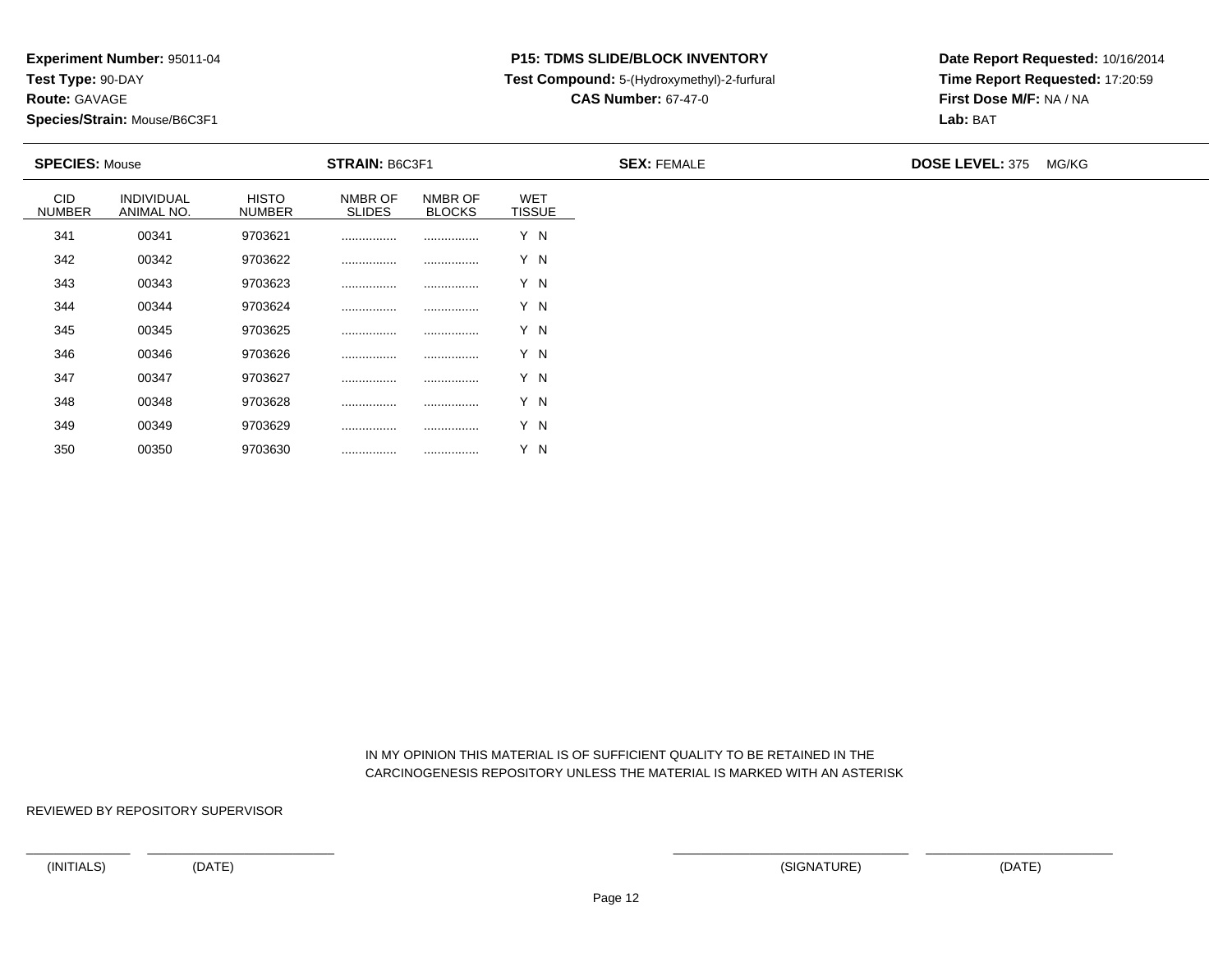**Route:** GAVAGE

350

**Species/Strain:** Mouse/B6C3F1

## **P15: TDMS SLIDE/BLOCK INVENTORY**

**Test Compound:** 5-(Hydroxymethyl)-2-furfural

**CAS Number:** 67-47-0

**Date Report Requested:** 10/16/2014**Time Report Requested:** 17:20:59**First Dose M/F:** NA / NA**Lab:** BAT

| <b>SPECIES: Mouse</b>       |                          |                               | <b>STRAIN: B6C3F1</b>    |                          |                             | <b>SEX: FEMALE</b> | DOSE LEVEL: 375 MG/KG |  |  |
|-----------------------------|--------------------------|-------------------------------|--------------------------|--------------------------|-----------------------------|--------------------|-----------------------|--|--|
| <b>CID</b><br><b>NUMBER</b> | INDIVIDUAL<br>ANIMAL NO. | <b>HISTO</b><br><b>NUMBER</b> | NMBR OF<br><b>SLIDES</b> | NMBR OF<br><b>BLOCKS</b> | <b>WET</b><br><b>TISSUE</b> |                    |                       |  |  |
| 341                         | 00341                    | 9703621                       |                          |                          | Y N                         |                    |                       |  |  |
| 342                         | 00342                    | 9703622                       |                          |                          | Y N                         |                    |                       |  |  |
| 343                         | 00343                    | 9703623                       |                          |                          | Y N                         |                    |                       |  |  |
| 344                         | 00344                    | 9703624                       |                          |                          | Y N                         |                    |                       |  |  |
| 345                         | 00345                    | 9703625                       |                          |                          | Y N                         |                    |                       |  |  |
| 346                         | 00346                    | 9703626                       |                          |                          | Y N                         |                    |                       |  |  |
| 347                         | 00347                    | 9703627                       |                          |                          | Y N                         |                    |                       |  |  |
| 348                         | 00348                    | 9703628                       |                          |                          | Y N                         |                    |                       |  |  |
| 349                         | 00349                    | 9703629                       |                          |                          | Y N                         |                    |                       |  |  |

 IN MY OPINION THIS MATERIAL IS OF SUFFICIENT QUALITY TO BE RETAINED IN THECARCINOGENESIS REPOSITORY UNLESS THE MATERIAL IS MARKED WITH AN ASTERISK

REVIEWED BY REPOSITORY SUPERVISOR

<sup>00350</sup> <sup>9703630</sup> ................ ................ Y N